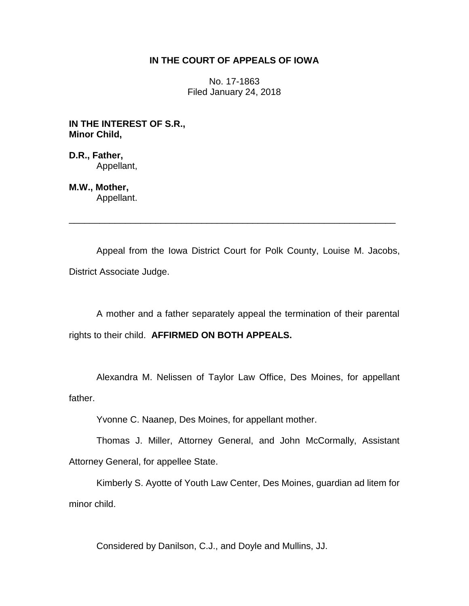## **IN THE COURT OF APPEALS OF IOWA**

No. 17-1863 Filed January 24, 2018

**IN THE INTEREST OF S.R., Minor Child,**

**D.R., Father,** Appellant,

**M.W., Mother,** Appellant.

Appeal from the Iowa District Court for Polk County, Louise M. Jacobs, District Associate Judge.

\_\_\_\_\_\_\_\_\_\_\_\_\_\_\_\_\_\_\_\_\_\_\_\_\_\_\_\_\_\_\_\_\_\_\_\_\_\_\_\_\_\_\_\_\_\_\_\_\_\_\_\_\_\_\_\_\_\_\_\_\_\_\_\_

A mother and a father separately appeal the termination of their parental rights to their child. **AFFIRMED ON BOTH APPEALS.**

Alexandra M. Nelissen of Taylor Law Office, Des Moines, for appellant father.

Yvonne C. Naanep, Des Moines, for appellant mother.

Thomas J. Miller, Attorney General, and John McCormally, Assistant Attorney General, for appellee State.

Kimberly S. Ayotte of Youth Law Center, Des Moines, guardian ad litem for minor child.

Considered by Danilson, C.J., and Doyle and Mullins, JJ.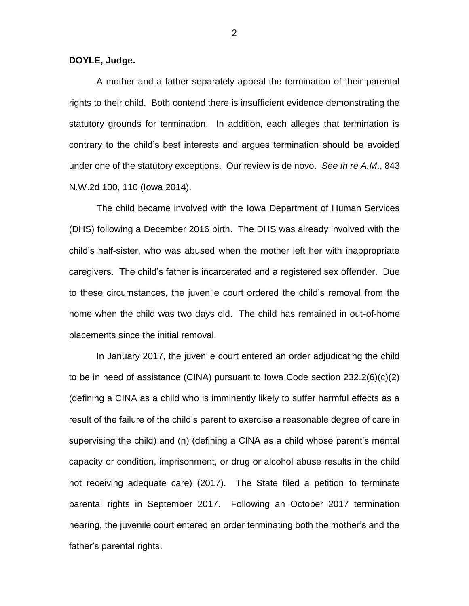## **DOYLE, Judge.**

A mother and a father separately appeal the termination of their parental rights to their child. Both contend there is insufficient evidence demonstrating the statutory grounds for termination. In addition, each alleges that termination is contrary to the child's best interests and argues termination should be avoided under one of the statutory exceptions. Our review is de novo. *See In re A.M*., 843 N.W.2d 100, 110 (Iowa 2014).

The child became involved with the Iowa Department of Human Services (DHS) following a December 2016 birth. The DHS was already involved with the child's half-sister, who was abused when the mother left her with inappropriate caregivers. The child's father is incarcerated and a registered sex offender. Due to these circumstances, the juvenile court ordered the child's removal from the home when the child was two days old. The child has remained in out-of-home placements since the initial removal.

In January 2017, the juvenile court entered an order adjudicating the child to be in need of assistance (CINA) pursuant to Iowa Code section 232.2(6)(c)(2) (defining a CINA as a child who is imminently likely to suffer harmful effects as a result of the failure of the child's parent to exercise a reasonable degree of care in supervising the child) and (n) (defining a CINA as a child whose parent's mental capacity or condition, imprisonment, or drug or alcohol abuse results in the child not receiving adequate care) (2017). The State filed a petition to terminate parental rights in September 2017. Following an October 2017 termination hearing, the juvenile court entered an order terminating both the mother's and the father's parental rights.

2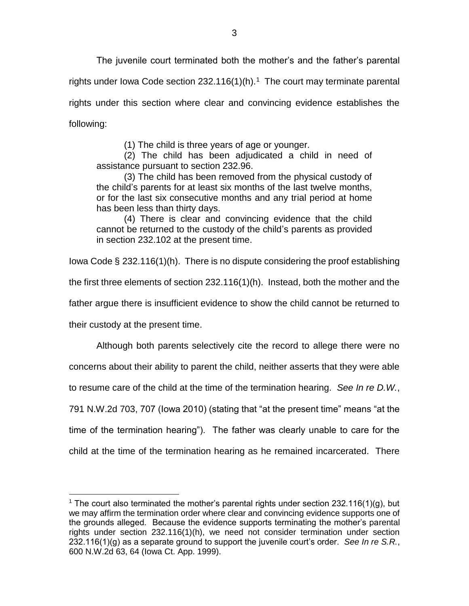The juvenile court terminated both the mother's and the father's parental rights under lowa Code section  $232.116(1)$ (h).<sup>1</sup> The court may terminate parental rights under this section where clear and convincing evidence establishes the following:

(1) The child is three years of age or younger.

(2) The child has been adjudicated a child in need of assistance pursuant to section 232.96.

(3) The child has been removed from the physical custody of the child's parents for at least six months of the last twelve months, or for the last six consecutive months and any trial period at home has been less than thirty days.

(4) There is clear and convincing evidence that the child cannot be returned to the custody of the child's parents as provided in section 232.102 at the present time.

Iowa Code § 232.116(1)(h). There is no dispute considering the proof establishing the first three elements of section 232.116(1)(h). Instead, both the mother and the father argue there is insufficient evidence to show the child cannot be returned to their custody at the present time.

Although both parents selectively cite the record to allege there were no concerns about their ability to parent the child, neither asserts that they were able to resume care of the child at the time of the termination hearing. *See In re D.W.*, 791 N.W.2d 703, 707 (Iowa 2010) (stating that "at the present time" means "at the time of the termination hearing"). The father was clearly unable to care for the child at the time of the termination hearing as he remained incarcerated. There

 $\overline{a}$ 

<sup>&</sup>lt;sup>1</sup> The court also terminated the mother's parental rights under section 232.116(1)(g), but we may affirm the termination order where clear and convincing evidence supports one of the grounds alleged. Because the evidence supports terminating the mother's parental rights under section 232.116(1)(h), we need not consider termination under section 232.116(1)(g) as a separate ground to support the juvenile court's order. *See In re S.R.*, 600 N.W.2d 63, 64 (Iowa Ct. App. 1999).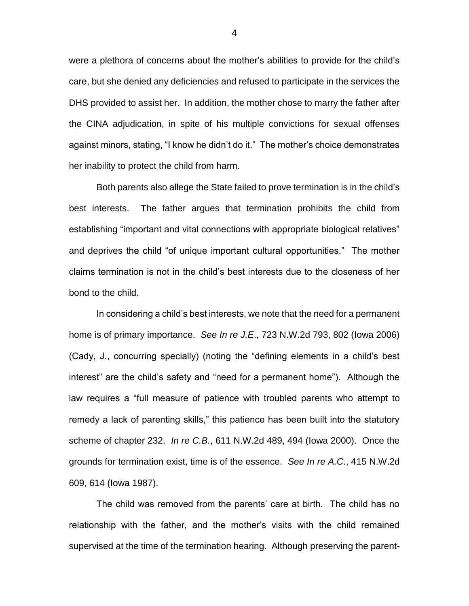were a plethora of concerns about the mother's abilities to provide for the child's care, but she denied any deficiencies and refused to participate in the services the DHS provided to assist her. In addition, the mother chose to marry the father after the CINA adjudication, in spite of his multiple convictions for sexual offenses against minors, stating, "I know he didn't do it." The mother's choice demonstrates her inability to protect the child from harm.

Both parents also allege the State failed to prove termination is in the child's best interests. The father argues that termination prohibits the child from establishing "important and vital connections with appropriate biological relatives" and deprives the child "of unique important cultural opportunities." The mother claims termination is not in the child's best interests due to the closeness of her bond to the child.

In considering a child's best interests, we note that the need for a permanent home is of primary importance. *See In re J.E*., 723 N.W.2d 793, 802 (Iowa 2006) (Cady, J., concurring specially) (noting the "defining elements in a child's best interest" are the child's safety and "need for a permanent home"). Although the law requires a "full measure of patience with troubled parents who attempt to remedy a lack of parenting skills," this patience has been built into the statutory scheme of chapter 232. *In re C.B.*, 611 N.W.2d 489, 494 (Iowa 2000). Once the grounds for termination exist, time is of the essence. *See In re A.C*., 415 N.W.2d 609, 614 (Iowa 1987).

The child was removed from the parents' care at birth. The child has no relationship with the father, and the mother's visits with the child remained supervised at the time of the termination hearing. Although preserving the parent-

4